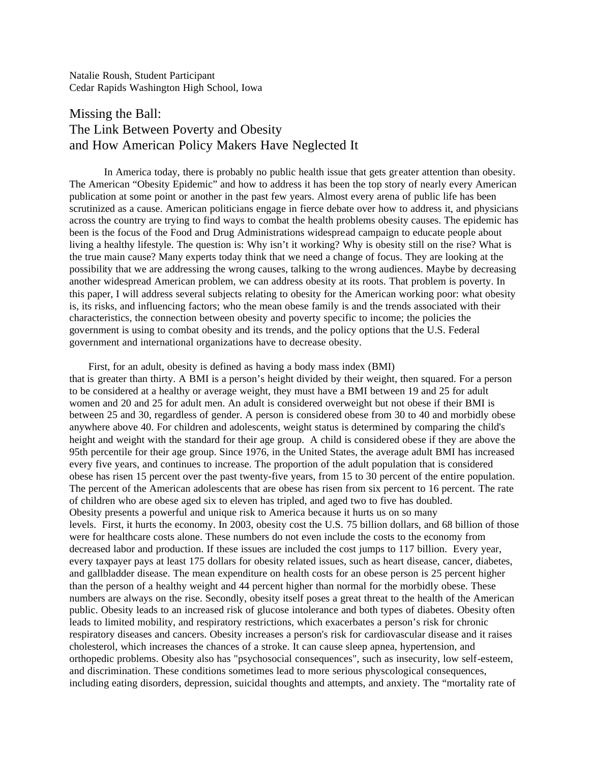Natalie Roush, Student Participant Cedar Rapids Washington High School, Iowa

## Missing the Ball: The Link Between Poverty and Obesity and How American Policy Makers Have Neglected It

In America today, there is probably no public health issue that gets greater attention than obesity. The American "Obesity Epidemic" and how to address it has been the top story of nearly every American publication at some point or another in the past few years. Almost every arena of public life has been scrutinized as a cause. American politicians engage in fierce debate over how to address it, and physicians across the country are trying to find ways to combat the health problems obesity causes. The epidemic has been is the focus of the Food and Drug Administrations widespread campaign to educate people about living a healthy lifestyle. The question is: Why isn't it working? Why is obesity still on the rise? What is the true main cause? Many experts today think that we need a change of focus. They are looking at the possibility that we are addressing the wrong causes, talking to the wrong audiences. Maybe by decreasing another widespread American problem, we can address obesity at its roots. That problem is poverty. In this paper, I will address several subjects relating to obesity for the American working poor: what obesity is, its risks, and influencing factors; who the mean obese family is and the trends associated with their characteristics, the connection between obesity and poverty specific to income; the policies the government is using to combat obesity and its trends, and the policy options that the U.S. Federal government and international organizations have to decrease obesity.

First, for an adult, obesity is defined as having a body mass index (BMI) that is greater than thirty. A BMI is a person's height divided by their weight, then squared. For a person to be considered at a healthy or average weight, they must have a BMI between 19 and 25 for adult women and 20 and 25 for adult men. An adult is considered overweight but not obese if their BMI is between 25 and 30, regardless of gender. A person is considered obese from 30 to 40 and morbidly obese anywhere above 40. For children and adolescents, weight status is determined by comparing the child's height and weight with the standard for their age group. A child is considered obese if they are above the 95th percentile for their age group. Since 1976, in the United States, the average adult BMI has increased every five years, and continues to increase. The proportion of the adult population that is considered obese has risen 15 percent over the past twenty-five years, from 15 to 30 percent of the entire population. The percent of the American adolescents that are obese has risen from six percent to 16 percent. The rate of children who are obese aged six to eleven has tripled, and aged two to five has doubled. Obesity presents a powerful and unique risk to America because it hurts us on so many levels. First, it hurts the economy. In 2003, obesity cost the U.S. 75 billion dollars, and 68 billion of those were for healthcare costs alone. These numbers do not even include the costs to the economy from decreased labor and production. If these issues are included the cost jumps to 117 billion. Every year, every taxpayer pays at least 175 dollars for obesity related issues, such as heart disease, cancer, diabetes, and gallbladder disease. The mean expenditure on health costs for an obese person is 25 percent higher than the person of a healthy weight and 44 percent higher than normal for the morbidly obese. These numbers are always on the rise. Secondly, obesity itself poses a great threat to the health of the American public. Obesity leads to an increased risk of glucose intolerance and both types of diabetes. Obesity often leads to limited mobility, and respiratory restrictions, which exacerbates a person's risk for chronic respiratory diseases and cancers. Obesity increases a person's risk for cardiovascular disease and it raises cholesterol, which increases the chances of a stroke. It can cause sleep apnea, hypertension, and orthopedic problems. Obesity also has "psychosocial consequences", such as insecurity, low self-esteem, and discrimination. These conditions sometimes lead to more serious physcological consequences, including eating disorders, depression, suicidal thoughts and attempts, and anxiety. The "mortality rate of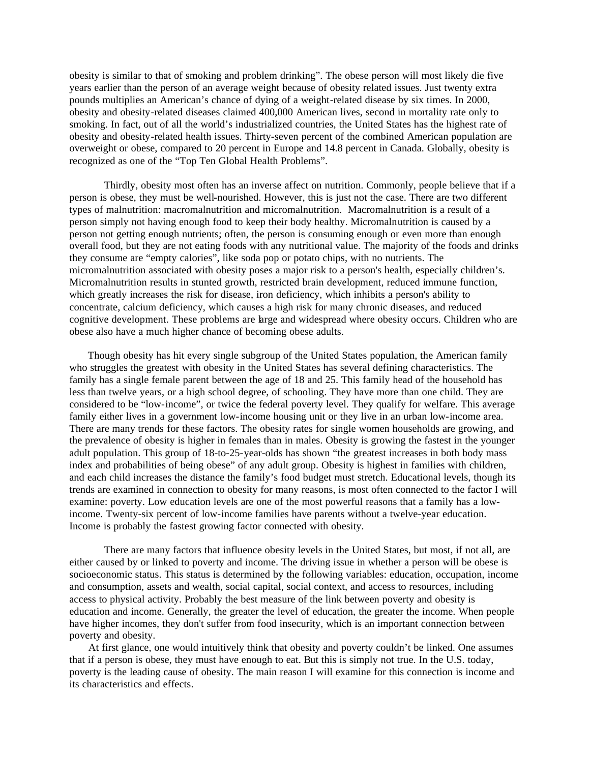obesity is similar to that of smoking and problem drinking". The obese person will most likely die five years earlier than the person of an average weight because of obesity related issues. Just twenty extra pounds multiplies an American's chance of dying of a weight-related disease by six times. In 2000, obesity and obesity-related diseases claimed 400,000 American lives, second in mortality rate only to smoking. In fact, out of all the world's industrialized countries, the United States has the highest rate of obesity and obesity-related health issues. Thirty-seven percent of the combined American population are overweight or obese, compared to 20 percent in Europe and 14.8 percent in Canada. Globally, obesity is recognized as one of the "Top Ten Global Health Problems".

Thirdly, obesity most often has an inverse affect on nutrition. Commonly, people believe that if a person is obese, they must be well-nourished. However, this is just not the case. There are two different types of malnutrition: macromalnutrition and micromalnutrition. Macromalnutrition is a result of a person simply not having enough food to keep their body healthy. Micromalnutrition is caused by a person not getting enough nutrients; often, the person is consuming enough or even more than enough overall food, but they are not eating foods with any nutritional value. The majority of the foods and drinks they consume are "empty calories", like soda pop or potato chips, with no nutrients. The micromalnutrition associated with obesity poses a major risk to a person's health, especially children's. Micromalnutrition results in stunted growth, restricted brain development, reduced immune function, which greatly increases the risk for disease, iron deficiency, which inhibits a person's ability to concentrate, calcium deficiency, which causes a high risk for many chronic diseases, and reduced cognitive development. These problems are large and widespread where obesity occurs. Children who are obese also have a much higher chance of becoming obese adults.

Though obesity has hit every single subgroup of the United States population, the American family who struggles the greatest with obesity in the United States has several defining characteristics. The family has a single female parent between the age of 18 and 25. This family head of the household has less than twelve years, or a high school degree, of schooling. They have more than one child. They are considered to be "low-income", or twice the federal poverty level. They qualify for welfare. This average family either lives in a government low-income housing unit or they live in an urban low-income area. There are many trends for these factors. The obesity rates for single women households are growing, and the prevalence of obesity is higher in females than in males. Obesity is growing the fastest in the younger adult population. This group of 18-to-25-year-olds has shown "the greatest increases in both body mass index and probabilities of being obese" of any adult group. Obesity is highest in families with children, and each child increases the distance the family's food budget must stretch. Educational levels, though its trends are examined in connection to obesity for many reasons, is most often connected to the factor I will examine: poverty. Low education levels are one of the most powerful reasons that a family has a lowincome. Twenty-six percent of low-income families have parents without a twelve-year education. Income is probably the fastest growing factor connected with obesity.

There are many factors that influence obesity levels in the United States, but most, if not all, are either caused by or linked to poverty and income. The driving issue in whether a person will be obese is socioeconomic status. This status is determined by the following variables: education, occupation, income and consumption, assets and wealth, social capital, social context, and access to resources, including access to physical activity. Probably the best measure of the link between poverty and obesity is education and income. Generally, the greater the level of education, the greater the income. When people have higher incomes, they don't suffer from food insecurity, which is an important connection between poverty and obesity.

At first glance, one would intuitively think that obesity and poverty couldn't be linked. One assumes that if a person is obese, they must have enough to eat. But this is simply not true. In the U.S. today, poverty is the leading cause of obesity. The main reason I will examine for this connection is income and its characteristics and effects.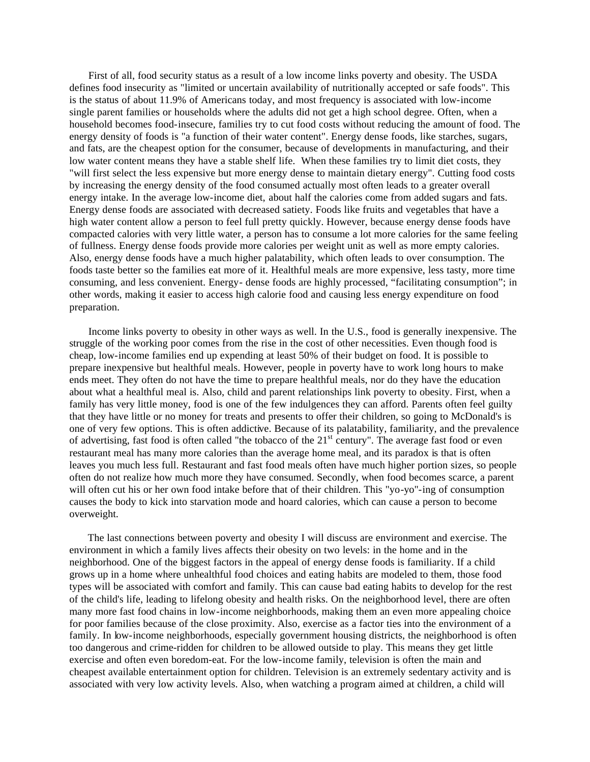First of all, food security status as a result of a low income links poverty and obesity. The USDA defines food insecurity as "limited or uncertain availability of nutritionally accepted or safe foods". This is the status of about 11.9% of Americans today, and most frequency is associated with low-income single parent families or households where the adults did not get a high school degree. Often, when a household becomes food-insecure, families try to cut food costs without reducing the amount of food. The energy density of foods is "a function of their water content". Energy dense foods, like starches, sugars, and fats, are the cheapest option for the consumer, because of developments in manufacturing, and their low water content means they have a stable shelf life. When these families try to limit diet costs, they "will first select the less expensive but more energy dense to maintain dietary energy". Cutting food costs by increasing the energy density of the food consumed actually most often leads to a greater overall energy intake. In the average low-income diet, about half the calories come from added sugars and fats. Energy dense foods are associated with decreased satiety. Foods like fruits and vegetables that have a high water content allow a person to feel full pretty quickly. However, because energy dense foods have compacted calories with very little water, a person has to consume a lot more calories for the same feeling of fullness. Energy dense foods provide more calories per weight unit as well as more empty calories. Also, energy dense foods have a much higher palatability, which often leads to over consumption. The foods taste better so the families eat more of it. Healthful meals are more expensive, less tasty, more time consuming, and less convenient. Energy- dense foods are highly processed, "facilitating consumption"; in other words, making it easier to access high calorie food and causing less energy expenditure on food preparation.

Income links poverty to obesity in other ways as well. In the U.S., food is generally inexpensive. The struggle of the working poor comes from the rise in the cost of other necessities. Even though food is cheap, low-income families end up expending at least 50% of their budget on food. It is possible to prepare inexpensive but healthful meals. However, people in poverty have to work long hours to make ends meet. They often do not have the time to prepare healthful meals, nor do they have the education about what a healthful meal is. Also, child and parent relationships link poverty to obesity. First, when a family has very little money, food is one of the few indulgences they can afford. Parents often feel guilty that they have little or no money for treats and presents to offer their children, so going to McDonald's is one of very few options. This is often addictive. Because of its palatability, familiarity, and the prevalence of advertising, fast food is often called "the tobacco of the 21<sup>st</sup> century". The average fast food or even restaurant meal has many more calories than the average home meal, and its paradox is that is often leaves you much less full. Restaurant and fast food meals often have much higher portion sizes, so people often do not realize how much more they have consumed. Secondly, when food becomes scarce, a parent will often cut his or her own food intake before that of their children. This "yo-yo"-ing of consumption causes the body to kick into starvation mode and hoard calories, which can cause a person to become overweight.

The last connections between poverty and obesity I will discuss are environment and exercise. The environment in which a family lives affects their obesity on two levels: in the home and in the neighborhood. One of the biggest factors in the appeal of energy dense foods is familiarity. If a child grows up in a home where unhealthful food choices and eating habits are modeled to them, those food types will be associated with comfort and family. This can cause bad eating habits to develop for the rest of the child's life, leading to lifelong obesity and health risks. On the neighborhood level, there are often many more fast food chains in low-income neighborhoods, making them an even more appealing choice for poor families because of the close proximity. Also, exercise as a factor ties into the environment of a family. In low-income neighborhoods, especially government housing districts, the neighborhood is often too dangerous and crime-ridden for children to be allowed outside to play. This means they get little exercise and often even boredom-eat. For the low-income family, television is often the main and cheapest available entertainment option for children. Television is an extremely sedentary activity and is associated with very low activity levels. Also, when watching a program aimed at children, a child will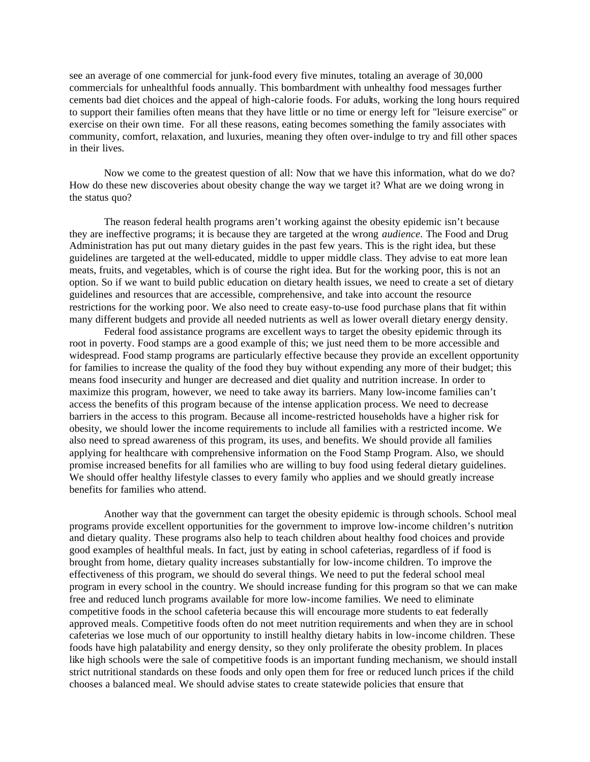see an average of one commercial for junk-food every five minutes, totaling an average of 30,000 commercials for unhealthful foods annually. This bombardment with unhealthy food messages further cements bad diet choices and the appeal of high-calorie foods. For adults, working the long hours required to support their families often means that they have little or no time or energy left for "leisure exercise" or exercise on their own time. For all these reasons, eating becomes something the family associates with community, comfort, relaxation, and luxuries, meaning they often over-indulge to try and fill other spaces in their lives.

Now we come to the greatest question of all: Now that we have this information, what do we do? How do these new discoveries about obesity change the way we target it? What are we doing wrong in the status quo?

The reason federal health programs aren't working against the obesity epidemic isn't because they are ineffective programs; it is because they are targeted at the wrong *audience.* The Food and Drug Administration has put out many dietary guides in the past few years. This is the right idea, but these guidelines are targeted at the well-educated, middle to upper middle class. They advise to eat more lean meats, fruits, and vegetables, which is of course the right idea. But for the working poor, this is not an option. So if we want to build public education on dietary health issues, we need to create a set of dietary guidelines and resources that are accessible, comprehensive, and take into account the resource restrictions for the working poor. We also need to create easy-to-use food purchase plans that fit within many different budgets and provide all needed nutrients as well as lower overall dietary energy density.

Federal food assistance programs are excellent ways to target the obesity epidemic through its root in poverty. Food stamps are a good example of this; we just need them to be more accessible and widespread. Food stamp programs are particularly effective because they provide an excellent opportunity for families to increase the quality of the food they buy without expending any more of their budget; this means food insecurity and hunger are decreased and diet quality and nutrition increase. In order to maximize this program, however, we need to take away its barriers. Many low-income families can't access the benefits of this program because of the intense application process. We need to decrease barriers in the access to this program. Because all income-restricted households have a higher risk for obesity, we should lower the income requirements to include all families with a restricted income. We also need to spread awareness of this program, its uses, and benefits. We should provide all families applying for healthcare with comprehensive information on the Food Stamp Program. Also, we should promise increased benefits for all families who are willing to buy food using federal dietary guidelines. We should offer healthy lifestyle classes to every family who applies and we should greatly increase benefits for families who attend.

Another way that the government can target the obesity epidemic is through schools. School meal programs provide excellent opportunities for the government to improve low-income children's nutrition and dietary quality. These programs also help to teach children about healthy food choices and provide good examples of healthful meals. In fact, just by eating in school cafeterias, regardless of if food is brought from home, dietary quality increases substantially for low-income children. To improve the effectiveness of this program, we should do several things. We need to put the federal school meal program in every school in the country. We should increase funding for this program so that we can make free and reduced lunch programs available for more low-income families. We need to eliminate competitive foods in the school cafeteria because this will encourage more students to eat federally approved meals. Competitive foods often do not meet nutrition requirements and when they are in school cafeterias we lose much of our opportunity to instill healthy dietary habits in low-income children. These foods have high palatability and energy density, so they only proliferate the obesity problem. In places like high schools were the sale of competitive foods is an important funding mechanism, we should install strict nutritional standards on these foods and only open them for free or reduced lunch prices if the child chooses a balanced meal. We should advise states to create statewide policies that ensure that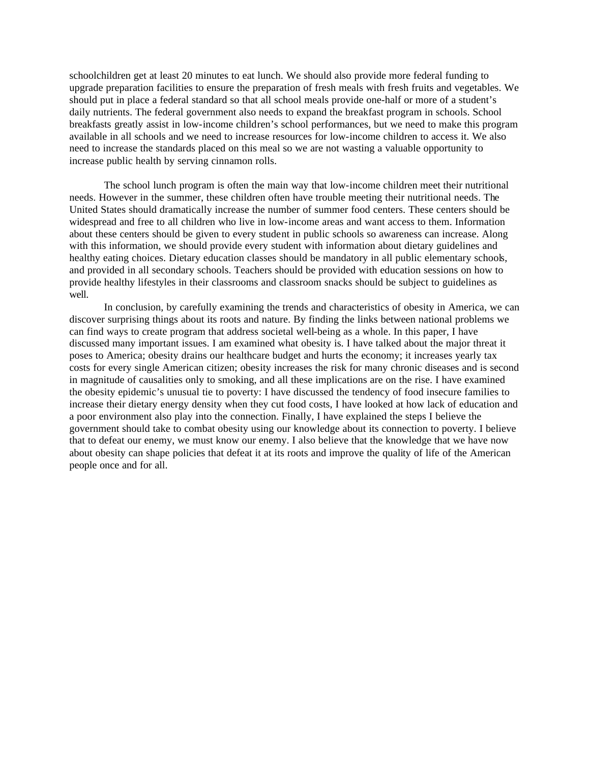schoolchildren get at least 20 minutes to eat lunch. We should also provide more federal funding to upgrade preparation facilities to ensure the preparation of fresh meals with fresh fruits and vegetables. We should put in place a federal standard so that all school meals provide one-half or more of a student's daily nutrients. The federal government also needs to expand the breakfast program in schools. School breakfasts greatly assist in low-income children's school performances, but we need to make this program available in all schools and we need to increase resources for low-income children to access it. We also need to increase the standards placed on this meal so we are not wasting a valuable opportunity to increase public health by serving cinnamon rolls.

The school lunch program is often the main way that low-income children meet their nutritional needs. However in the summer, these children often have trouble meeting their nutritional needs. The United States should dramatically increase the number of summer food centers. These centers should be widespread and free to all children who live in low-income areas and want access to them. Information about these centers should be given to every student in public schools so awareness can increase. Along with this information, we should provide every student with information about dietary guidelines and healthy eating choices. Dietary education classes should be mandatory in all public elementary schools, and provided in all secondary schools. Teachers should be provided with education sessions on how to provide healthy lifestyles in their classrooms and classroom snacks should be subject to guidelines as well.

In conclusion, by carefully examining the trends and characteristics of obesity in America, we can discover surprising things about its roots and nature. By finding the links between national problems we can find ways to create program that address societal well-being as a whole. In this paper, I have discussed many important issues. I am examined what obesity is. I have talked about the major threat it poses to America; obesity drains our healthcare budget and hurts the economy; it increases yearly tax costs for every single American citizen; obesity increases the risk for many chronic diseases and is second in magnitude of causalities only to smoking, and all these implications are on the rise. I have examined the obesity epidemic's unusual tie to poverty: I have discussed the tendency of food insecure families to increase their dietary energy density when they cut food costs, I have looked at how lack of education and a poor environment also play into the connection. Finally, I have explained the steps I believe the government should take to combat obesity using our knowledge about its connection to poverty. I believe that to defeat our enemy, we must know our enemy. I also believe that the knowledge that we have now about obesity can shape policies that defeat it at its roots and improve the quality of life of the American people once and for all.